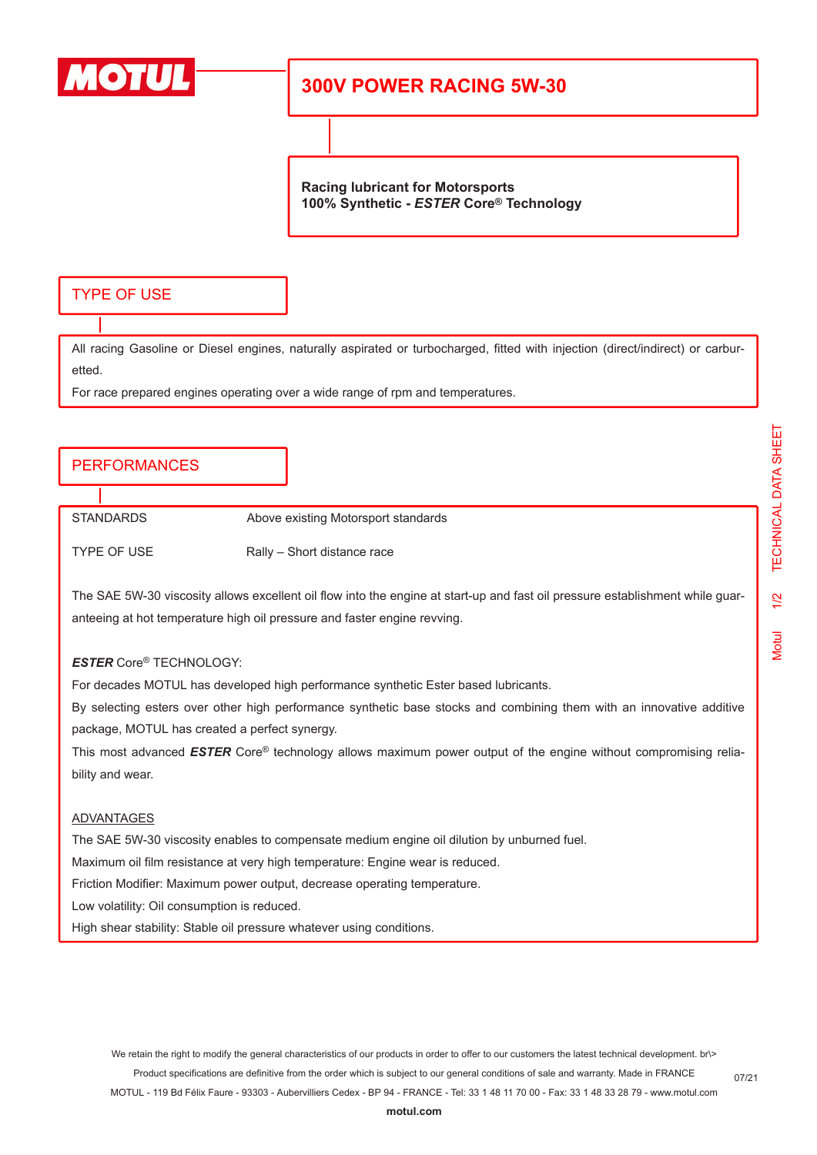

# **300V POWER RACING 5W-30**

**Racing lubricant for Motorsports 100% Synthetic -** *ESTER* **Core® Technology**

## TYPE OF USE

All racing Gasoline or Diesel engines, naturally aspirated or turbocharged, fitted with injection (direct/indirect) or carburetted.

For race prepared engines operating over a wide range of rpm and temperatures.

### PERFORMANCES

STANDARDS Above existing Motorsport standards

TYPE OF USE Rally – Short distance race

The SAE 5W-30 viscosity allows excellent oil flow into the engine at start-up and fast oil pressure establishment while guaranteeing at hot temperature high oil pressure and faster engine revving.

#### *ESTER* Core® TECHNOLOGY:

For decades MOTUL has developed high performance synthetic Ester based lubricants.

By selecting esters over other high performance synthetic base stocks and combining them with an innovative additive package, MOTUL has created a perfect synergy.

This most advanced *ESTER* Core® technology allows maximum power output of the engine without compromising reliability and wear.

#### ADVANTAGES

The SAE 5W-30 viscosity enables to compensate medium engine oil dilution by unburned fuel.

Maximum oil film resistance at very high temperature: Engine wear is reduced.

Friction Modifier: Maximum power output, decrease operating temperature.

Low volatility: Oil consumption is reduced.

High shear stability: Stable oil pressure whatever using conditions.